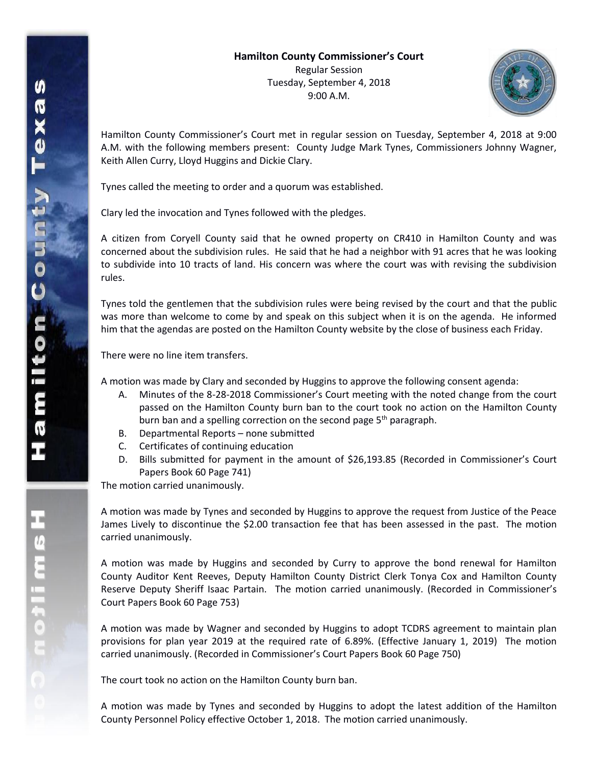

Hamilton County Commissioner's Court met in regular session on Tuesday, September 4, 2018 at 9:00 A.M. with the following members present: County Judge Mark Tynes, Commissioners Johnny Wagner, Keith Allen Curry, Lloyd Huggins and Dickie Clary.

Tynes called the meeting to order and a quorum was established.

Clary led the invocation and Tynes followed with the pledges.

A citizen from Coryell County said that he owned property on CR410 in Hamilton County and was concerned about the subdivision rules. He said that he had a neighbor with 91 acres that he was looking to subdivide into 10 tracts of land. His concern was where the court was with revising the subdivision rules.

Tynes told the gentlemen that the subdivision rules were being revised by the court and that the public was more than welcome to come by and speak on this subject when it is on the agenda. He informed him that the agendas are posted on the Hamilton County website by the close of business each Friday.

There were no line item transfers.

A motion was made by Clary and seconded by Huggins to approve the following consent agenda:

- A. Minutes of the 8-28-2018 Commissioner's Court meeting with the noted change from the court passed on the Hamilton County burn ban to the court took no action on the Hamilton County burn ban and a spelling correction on the second page 5<sup>th</sup> paragraph.
- B. Departmental Reports none submitted
- C. Certificates of continuing education
- D. Bills submitted for payment in the amount of \$26,193.85 (Recorded in Commissioner's Court Papers Book 60 Page 741)

The motion carried unanimously.

A motion was made by Tynes and seconded by Huggins to approve the request from Justice of the Peace James Lively to discontinue the \$2.00 transaction fee that has been assessed in the past. The motion carried unanimously.

A motion was made by Huggins and seconded by Curry to approve the bond renewal for Hamilton County Auditor Kent Reeves, Deputy Hamilton County District Clerk Tonya Cox and Hamilton County Reserve Deputy Sheriff Isaac Partain. The motion carried unanimously. (Recorded in Commissioner's Court Papers Book 60 Page 753)

A motion was made by Wagner and seconded by Huggins to adopt TCDRS agreement to maintain plan provisions for plan year 2019 at the required rate of 6.89%. (Effective January 1, 2019) The motion carried unanimously. (Recorded in Commissioner's Court Papers Book 60 Page 750)

The court took no action on the Hamilton County burn ban.

A motion was made by Tynes and seconded by Huggins to adopt the latest addition of the Hamilton County Personnel Policy effective October 1, 2018. The motion carried unanimously.